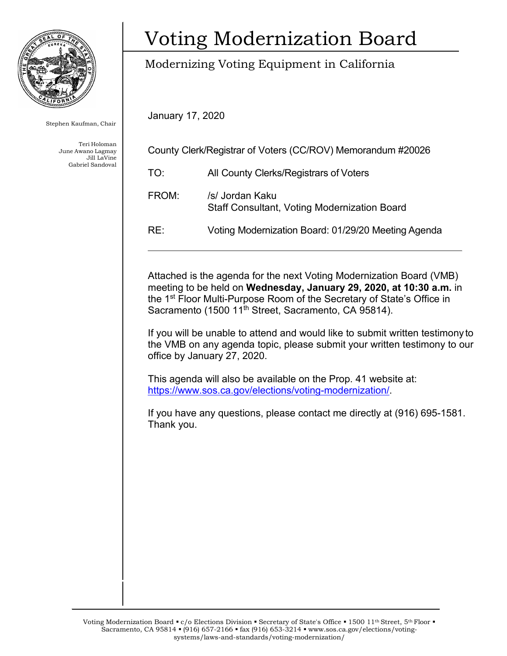

Stephen Kaufman, Chair

Teri Holoman June Awano Lagmay Jill LaVine Gabriel Sandoval

## Voting Modernization Board

### Modernizing Voting Equipment in California

January 17, 2020

| County Clerk/Registrar of Voters (CC/ROV) Memorandum #20026 |                                                                        |
|-------------------------------------------------------------|------------------------------------------------------------------------|
| TO:                                                         | All County Clerks/Registrars of Voters                                 |
| FROM:                                                       | /s/ Jordan Kaku<br><b>Staff Consultant, Voting Modernization Board</b> |
| RE:                                                         | Voting Modernization Board: 01/29/20 Meeting Agenda                    |

Attached is the agenda for the next Voting Modernization Board (VMB) meeting to be held on **Wednesday, January 29, 2020, at 10:30 a.m.** in the 1st Floor Multi-Purpose Room of the Secretary of State's Office in Sacramento (1500 11<sup>th</sup> Street, Sacramento, CA 95814).

If you will be unable to attend and would like to submit written testimony to the VMB on any agenda topic, please submit your written testimony to our office by January 27, 2020.

This agenda will also be available on the Prop. 41 website at: [https://www.sos.ca.gov/elections/voting-modernization/.](https://www.sos.ca.gov/elections/voting-modernization/)

If you have any questions, please contact me directly at (916) 695-1581. Thank you.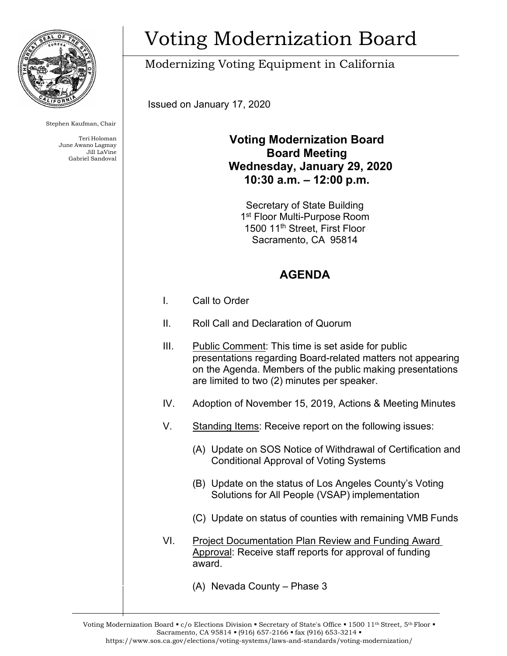

Stephen Kaufman, Chair

Teri Holoman June Awano Lagmay Jill LaVine Gabriel Sandoval

# Voting Modernization Board

### Modernizing Voting Equipment in California

Issued on January 17, 2020

#### **Voting Modernization Board Board Meeting Wednesday, January 29, 2020 10:30 a.m. – 12:00 p.m.**

Secretary of State Building 1<sup>st</sup> Floor Multi-Purpose Room 1500 11th Street, First Floor Sacramento, CA 95814

#### **AGENDA**

- I. Call to Order
- II. Roll Call and Declaration of Quorum
- III. Public Comment: This time is set aside for public presentations regarding Board-related matters not appearing on the Agenda. Members of the public making presentations are limited to two (2) minutes per speaker. IV. Adoption of November 15, 2019, Actions & Meeting Minutes V. Standing Items: Receive report on the following issues: (A) Update on SOS Notice of Withdrawal of Certification and Conditional Approval of Voting Systems (B) Update on the status of Los Angeles County's Voting Solutions for All People (VSAP) implementation (C) Update on status of counties with remaining VMB Funds VI. Project Documentation Plan Review and Funding Award Approval: Receive staff reports for approval of funding award.
	- (A) Nevada County Phase 3